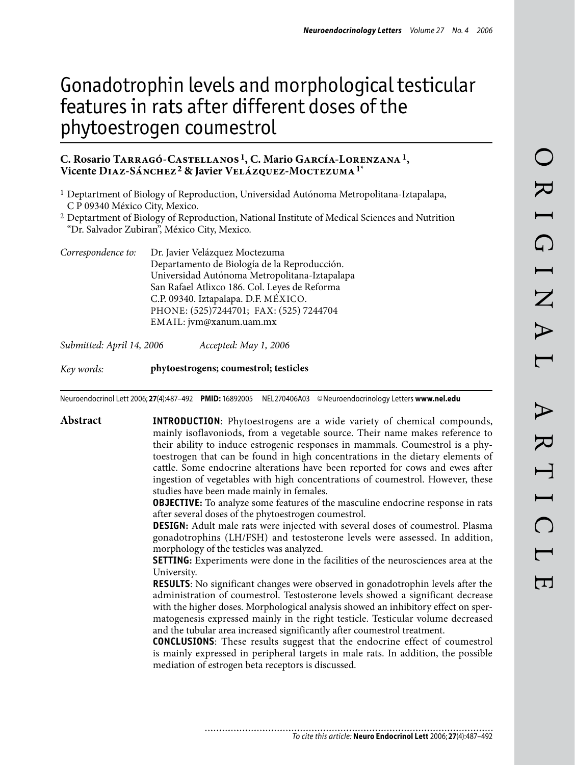# Gonadotrophin levels and morphological testicular features in rats after different doses of the phytoestrogen coumestrol

# **C. Rosario Tarragó-Castellanos 1, C. Mario García-Lorenzana1, Vicente Diaz-Sánchez2 & Javier Velázquez-Moctezuma1\***

- 1 Deptartment of Biology of Reproduction, Universidad Autónoma Metropolitana-Iztapalapa, C P 09340 México City, Mexico.
- 2 Deptartment of Biology of Reproduction, National Institute of Medical Sciences and Nutrition "Dr. Salvador Zubiran", México City, Mexico.
- *Correspondence to:* Dr. Javier Velázquez Moctezuma Departamento de Biología de la Reproducción. Universidad Autónoma Metropolitana-Iztapalapa San Rafael Atlixco 186. Col. Leyes de Reforma C.P. 09340. Iztapalapa. D.F. MÉXICO. PHONE: (525)7244701; FAX: (525) 7244704 EMAIL: jvm@xanum.uam.mx

*Submitted: April 14, 2006 Accepted: May 1, 2006*

*Key words:* **phytoestrogens; coumestrol; testicles**

Neuroendocrinol Lett 2006; **27**(4):487–492 **PMID:** 16892005 NEL270406A03 ©Neuroendocrinology Letters **www.nel.edu**

**Abstract INTRODUCTION**: Phytoestrogens are a wide variety of chemical compounds, mainly isoflavoniods, from a vegetable source. Their name makes reference to their ability to induce estrogenic responses in mammals. Coumestrol is a phytoestrogen that can be found in high concentrations in the dietary elements of cattle. Some endocrine alterations have been reported for cows and ewes after ingestion of vegetables with high concentrations of coumestrol. However, these studies have been made mainly in females.

> **OBJECTIVE:** To analyze some features of the masculine endocrine response in rats after several doses of the phytoestrogen coumestrol.

> **DESIGN:** Adult male rats were injected with several doses of coumestrol. Plasma gonadotrophins (LH/FSH) and testosterone levels were assessed. In addition, morphology of the testicles was analyzed.

> **SETTING:** Experiments were done in the facilities of the neurosciences area at the University.

> **RESULTS**: No significant changes were observed in gonadotrophin levels after the administration of coumestrol. Testosterone levels showed a significant decrease with the higher doses. Morphological analysis showed an inhibitory effect on spermatogenesis expressed mainly in the right testicle. Testicular volume decreased and the tubular area increased significantly after coumestrol treatment.

> **Conclusions**: These results suggest that the endocrine effect of coumestrol is mainly expressed in peripheral targets in male rats. In addition, the possible mediation of estrogen beta receptors is discussed.

*To cite this article:* **Neuro Endocrinol Lett** 2006; **27**(4):487–492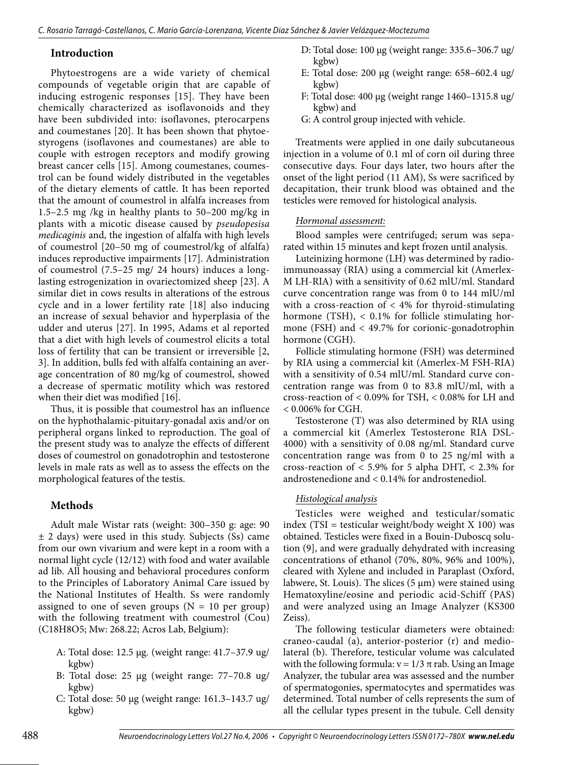## **Introduction**

Phytoestrogens are a wide variety of chemical compounds of vegetable origin that are capable of inducing estrogenic responses [15]. They have been chemically characterized as isoflavonoids and they have been subdivided into: isoflavones, pterocarpens and coumestanes [20]. It has been shown that phytoestyrogens (isoflavones and coumestanes) are able to couple with estrogen receptors and modify growing breast cancer cells [15]. Among coumestanes, coumestrol can be found widely distributed in the vegetables of the dietary elements of cattle. It has been reported that the amount of coumestrol in alfalfa increases from 1.5–2.5 mg /kg in healthy plants to 50–200 mg/kg in plants with a micotic disease caused by *pseudopesisa medicaginis* and, the ingestion of alfalfa with high levels of coumestrol [20–50 mg of coumestrol/kg of alfalfa) induces reproductive impairments [17]. Administration of coumestrol (7.5–25 mg/ 24 hours) induces a longlasting estrogenization in ovariectomized sheep [23]. A similar diet in cows results in alterations of the estrous cycle and in a lower fertility rate [18] also inducing an increase of sexual behavior and hyperplasia of the udder and uterus [27]. In 1995, Adams et al reported that a diet with high levels of coumestrol elicits a total loss of fertility that can be transient or irreversible [2, 3]. In addition, bulls fed with alfalfa containing an average concentration of 80 mg/kg of coumestrol, showed a decrease of spermatic motility which was restored when their diet was modified [16].

Thus, it is possible that coumestrol has an influence on the hyphothalamic-pituitary-gonadal axis and/or on peripheral organs linked to reproduction. The goal of the present study was to analyze the effects of different doses of coumestrol on gonadotrophin and testosterone levels in male rats as well as to assess the effects on the morphological features of the testis.

# **Methods**

Adult male Wistar rats (weight: 300–350 g: age: 90 ± 2 days) were used in this study. Subjects (Ss) came from our own vivarium and were kept in a room with a normal light cycle (12/12) with food and water available ad lib. All housing and behavioral procedures conform to the Principles of Laboratory Animal Care issued by the National Institutes of Health. Ss were randomly assigned to one of seven groups  $(N = 10$  per group) with the following treatment with coumestrol (Cou) (C18H8O5; Mw: 268.22; Acros Lab, Belgium):

- A: Total dose: 12.5 µg. (weight range: 41.7–37.9 ug/ kgbw)
- B: Total dose: 25 µg (weight range: 77–70.8 ug/ kgbw)
- C: Total dose: 50 µg (weight range: 161.3–143.7 ug/ kgbw)
- D: Total dose: 100 µg (weight range: 335.6–306.7 ug/ kgbw)
- E: Total dose: 200 µg (weight range: 658–602.4 ug/ kgbw)
- F: Total dose: 400 µg (weight range 1460–1315.8 ug/ kgbw) and
- G: A control group injected with vehicle.

Treatments were applied in one daily subcutaneous injection in a volume of 0.1 ml of corn oil during three consecutive days. Four days later, two hours after the onset of the light period (11 AM), Ss were sacrificed by decapitation, their trunk blood was obtained and the testicles were removed for histological analysis.

## *Hormonal assessment:*

Blood samples were centrifuged; serum was separated within 15 minutes and kept frozen until analysis.

Luteinizing hormone (LH) was determined by radioimmunoassay (RIA) using a commercial kit (Amerlex-M LH-RIA) with a sensitivity of 0.62 mlU/ml. Standard curve concentration range was from 0 to 144 mlU/ml with a cross-reaction of  $\lt$  4% for thyroid-stimulating hormone (TSH), < 0.1% for follicle stimulating hormone (FSH) and < 49.7% for corionic-gonadotrophin hormone (CGH).

Follicle stimulating hormone (FSH) was determined by RIA using a commercial kit (Amerlex-M FSH-RIA) with a sensitivity of 0.54 mlU/ml. Standard curve concentration range was from 0 to 83.8 mlU/ml, with a cross-reaction of < 0.09% for TSH, < 0.08% for LH and < 0.006% for CGH.

Testosterone (T) was also determined by RIA using a commercial kit (Amerlex Testosterone RIA DSL-4000) with a sensitivity of 0.08 ng/ml. Standard curve concentration range was from 0 to 25 ng/ml with a cross-reaction of  $<$  5.9% for 5 alpha DHT,  $<$  2.3% for androstenedione and < 0.14% for androstenediol.

## *Histological analysis*

Testicles were weighed and testicular/somatic index (TSI = testicular weight/body weight  $X$  100) was obtained. Testicles were fixed in a Bouin-Duboscq solution (9], and were gradually dehydrated with increasing concentrations of ethanol (70%, 80%, 96% and 100%), cleared with Xylene and included in Paraplast (Oxford, labwere, St. Louis). The slices  $(5 \mu m)$  were stained using Hematoxyline/eosine and periodic acid-Schiff (PAS) and were analyzed using an Image Analyzer (KS300 Zeiss).

The following testicular diameters were obtained: craneo-caudal (a), anterior-posterior (r) and mediolateral (b). Therefore, testicular volume was calculated with the following formula:  $v = 1/3 \pi$  rab. Using an Image Analyzer, the tubular area was assessed and the number of spermatogonies, spermatocytes and spermatides was determined. Total number of cells represents the sum of all the cellular types present in the tubule. Cell density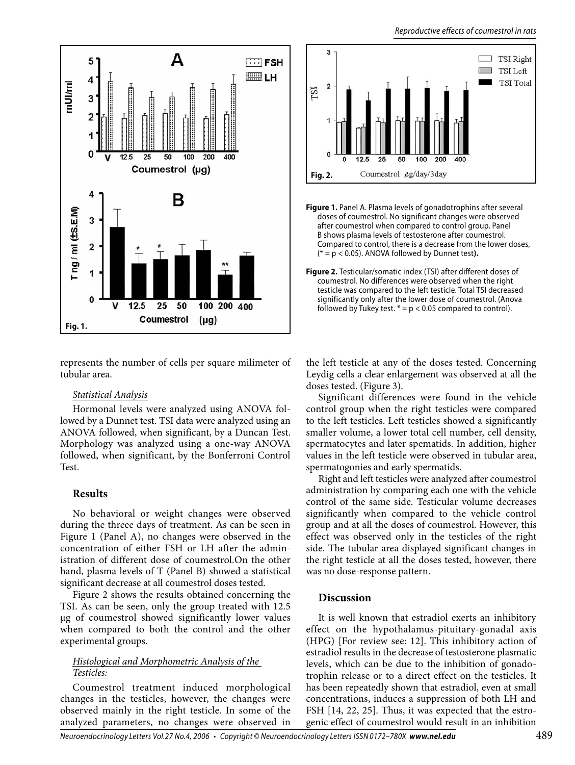

represents the number of cells per square milimeter of tubular area.

#### *Statistical Analysis*

Hormonal levels were analyzed using ANOVA followed by a Dunnet test. TSI data were analyzed using an ANOVA followed, when significant, by a Duncan Test. Morphology was analyzed using a one-way ANOVA followed, when significant, by the Bonferroni Control Test.

## **Results**

No behavioral or weight changes were observed during the threee days of treatment. As can be seen in Figure 1 (Panel A), no changes were observed in the concentration of either FSH or LH after the administration of different dose of coumestrol.On the other hand, plasma levels of T (Panel B) showed a statistical significant decrease at all coumestrol doses tested.

Figure 2 shows the results obtained concerning the TSI. As can be seen, only the group treated with 12.5 µg of coumestrol showed significantly lower values when compared to both the control and the other experimental groups.

# *Histological and Morphometric Analysis of the Testicles:*

Coumestrol treatment induced morphological changes in the testicles, however, the changes were observed mainly in the right testicle. In some of the analyzed parameters, no changes were observed in



**Figure 1.** Panel A. Plasma levels of gonadotrophins after several doses of coumestrol. No significant changes were observed after coumestrol when compared to control group. Panel B shows plasma levels of testosterone after coumestrol. Compared to control, there is a decrease from the lower doses, (\* = p < 0.05). ANOVA followed by Dunnet test**).**

**Figure 2.** Testicular/somatic index (TSI) after different doses of coumestrol. No differences were observed when the right testicle was compared to the left testicle. Total TSI decreased significantly only after the lower dose of coumestrol. (Anova followed by Tukey test.  $* = p < 0.05$  compared to control).

the left testicle at any of the doses tested. Concerning Leydig cells a clear enlargement was observed at all the doses tested. (Figure 3).

Significant differences were found in the vehicle control group when the right testicles were compared to the left testicles. Left testicles showed a significantly smaller volume, a lower total cell number, cell density, spermatocytes and later spematids. In addition, higher values in the left testicle were observed in tubular area, spermatogonies and early spermatids.

Right and left testicles were analyzed after coumestrol administration by comparing each one with the vehicle control of the same side. Testicular volume decreases significantly when compared to the vehicle control group and at all the doses of coumestrol. However, this effect was observed only in the testicles of the right side. The tubular area displayed significant changes in the right testicle at all the doses tested, however, there was no dose-response pattern.

# **Discussion**

It is well known that estradiol exerts an inhibitory effect on the hypothalamus-pituitary-gonadal axis (HPG) [For review see: 12]. This inhibitory action of estradiol results in the decrease of testosterone plasmatic levels, which can be due to the inhibition of gonadotrophin release or to a direct effect on the testicles. It has been repeatedly shown that estradiol, even at small concentrations, induces a suppression of both LH and FSH [14, 22, 25]. Thus, it was expected that the estrogenic effect of coumestrol would result in an inhibition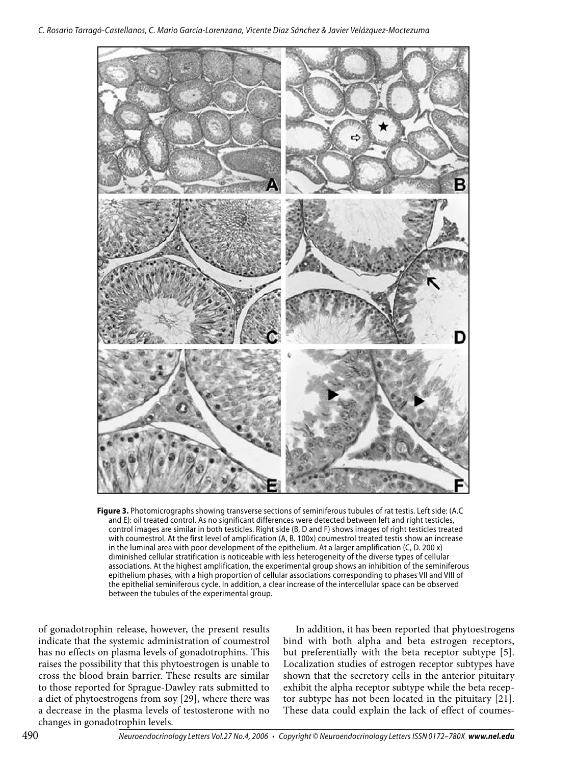

**Figure 3.** Photomicrographs showing transverse sections of seminiferous tubules of rat testis. Left side: (A.C and E): oil treated control. As no significant differences were detected between left and right testicles, control images are similar in both testicles. Right side (B, D and F) shows images of right testicles treated with coumestrol. At the first level of amplification (A, B. 100x) coumestrol treated testis show an increase in the luminal area with poor development of the epithelium. At a larger amplification (C, D. 200 x) diminished cellular stratification is noticeable with less heterogeneity of the diverse types of cellular associations. At the highest amplification, the experimental group shows an inhibition of the seminiferous epithelium phases, with a high proportion of cellular associations corresponding to phases VII and VIII of the epithelial seminiferous cycle. In addition, a clear increase of the intercellular space can be observed between the tubules of the experimental group.

of gonadotrophin release, however, the present results indicate that the systemic administration of coumestrol has no effects on plasma levels of gonadotrophins. This raises the possibility that this phytoestrogen is unable to cross the blood brain barrier. These results are similar to those reported for Sprague-Dawley rats submitted to a diet of phytoestrogens from soy [29], where there was a decrease in the plasma levels of testosterone with no changes in gonadotrophin levels.

In addition, it has been reported that phytoestrogens bind with both alpha and beta estrogen receptors, but preferentially with the beta receptor subtype [5]. Localization studies of estrogen receptor subtypes have shown that the secretory cells in the anterior pituitary exhibit the alpha receptor subtype while the beta receptor subtype has not been located in the pituitary [21]. These data could explain the lack of effect of coumes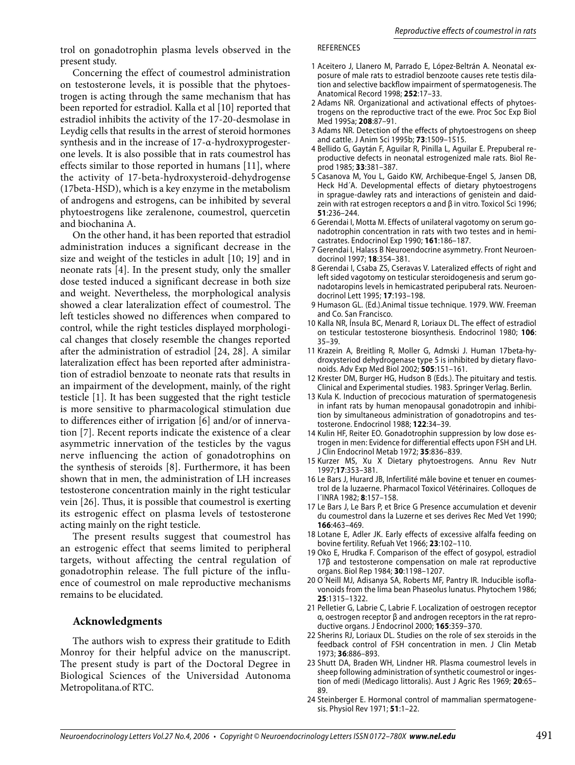trol on gonadotrophin plasma levels observed in the present study.

Concerning the effect of coumestrol administration on testosterone levels, it is possible that the phytoestrogen is acting through the same mechanism that has been reported for estradiol. Kalla et al [10] reported that estradiol inhibits the activity of the 17-20-desmolase in Leydig cells that results in the arrest of steroid hormones synthesis and in the increase of 17-α-hydroxyprogesterone levels. It is also possible that in rats coumestrol has effects similar to those reported in humans [11], where the activity of 17-beta-hydroxysteroid-dehydrogense (17beta-HSD), which is a key enzyme in the metabolism of androgens and estrogens, can be inhibited by several phytoestrogens like zeralenone, coumestrol, quercetin and biochanina A.

On the other hand, it has been reported that estradiol administration induces a significant decrease in the size and weight of the testicles in adult [10; 19] and in neonate rats [4]. In the present study, only the smaller dose tested induced a significant decrease in both size and weight. Nevertheless, the morphological analysis showed a clear lateralization effect of coumestrol. The left testicles showed no differences when compared to control, while the right testicles displayed morphological changes that closely resemble the changes reported after the administration of estradiol [24, 28]. A similar lateralization effect has been reported after administration of estradiol benzoate to neonate rats that results in an impairment of the development, mainly, of the right testicle [1]. It has been suggested that the right testicle is more sensitive to pharmacological stimulation due to differences either of irrigation [6] and/or of innervation [7]. Recent reports indicate the existence of a clear asymmetric innervation of the testicles by the vagus nerve influencing the action of gonadotrophins on the synthesis of steroids [8]. Furthermore, it has been shown that in men, the administration of LH increases testosterone concentration mainly in the right testicular vein [26]. Thus, it is possible that coumestrol is exerting its estrogenic effect on plasma levels of testosterone acting mainly on the right testicle.

The present results suggest that coumestrol has an estrogenic effect that seems limited to peripheral targets, without affecting the central regulation of gonadotrophin release. The full picture of the influence of coumestrol on male reproductive mechanisms remains to be elucidated.

## **Acknowledgments**

The authors wish to express their gratitude to Edith Monroy for their helpful advice on the manuscript. The present study is part of the Doctoral Degree in Biological Sciences of the Universidad Autonoma Metropolitana.of RTC.

#### REFERENCES

- 1 Aceitero J, Llanero M, Parrado E, López-Beltrán A. Neonatal exposure of male rats to estradiol benzoote causes rete testis dilation and selective backflow impairment of spermatogenesis. The Anatomical Record 1998; **252**:17–33.
- 2 Adams NR. Organizational and activational effects of phytoestrogens on the reproductive tract of the ewe. Proc Soc Exp Biol Med 1995a; **208**:87–91.
- 3 Adams NR. Detection of the effects of phytoestrogens on sheep and cattle. J Anim Sci 1995b; **73**:1509–1515.
- 4 Bellido G, Gaytán F, Aguilar R, Pinilla L, Aguilar E. Prepuberal reproductive defects in neonatal estrogenized male rats. Biol Reprod 1985; **33**:381–387.
- 5 Casanova M, You L, Gaido KW, Archibeque-Engel S, Jansen DB, Heck Hd´A. Developmental effects of dietary phytoestrogens in sprague-dawley rats and interactions of genistein and daidzein with rat estrogen receptors α and β in vitro. Toxicol Sci 1996; **51**:236–244.
- 6 Gerendai I, Motta M. Effects of unilateral vagotomy on serum gonadotrophin concentration in rats with two testes and in hemicastrates. Endocrinol Exp 1990; **161**:186–187.
- 7 Gerendai I, Halass B Neuroendocrine asymmetry. Front Neuroendocrinol 1997; **18**:354–381.
- 8 Gerendai I, Csaba ZS, Cseravas V. Lateralized effects of right and left sided vagotomy on testicular steroidogenesis and serum gonadotaropins levels in hemicastrated peripuberal rats. Neuroendocrinol Lett 1995; **17**:193–198.
- 9 Humason GL. (Ed.).Animal tissue technique. 1979. WW. Freeman and Co. San Francisco.
- 10 Kalla NR, Ínsula BC, Menard R, Loriaux DL. The effect of estradiol on testicular testosterone biosynthesis. Endocrinol 1980; **106**: 35–39.
- 11 Krazein A, Breitling R, Moller G, Admski J. Human 17beta-hydroxysteriod dehydrogenase type 5 is inhibited by dietary flavonoids. Adv Exp Med Biol 2002; **505**:151–161.
- 12 Krester DM, Burger HG, Hudson B (Eds.). The pituitary and testis. Clinical and Experimental studies. 1983. Springer Verlag. Berlin.
- 13 Kula K. Induction of precocious maturation of spermatogenesis in infant rats by human menopausal gonadotropin and inhibition by simultaneous administration of gonadotropins and testosterone. Endocrinol 1988; **122**:34–39.
- 14 Kulin HF, Reiter EO. Gonadotrophin suppression by low dose estrogen in men: Evidence for differential effects upon FSH and LH. J Clin Endocrinol Metab 1972; **35**:836–839.
- 15 Kurzer MS, Xu X Dietary phytoestrogens. Annu Rev Nutr 1997;**17**:353–381.
- 16 Le Bars J, Hurard JB, Infertilité mâle bovine et tenuer en coumestrol de la luzaerne. Pharmacol Toxicol Vétérinaires. Colloques de l´INRA 1982; **8**:157–158.
- 17 Le Bars J, Le Bars P, et Brice G Presence accumulation et devenir du coumestrol dans la Luzerne et ses derives Rec Med Vet 1990; **166**:463–469.
- 18 Lotane E, Adler JK. Early effects of excessive alfalfa feeding on bovine fertility. Refuah Vet 1966; **23**:102–110.
- 19 Oko E, Hrudka F. Comparison of the effect of gosypol, estradiol 17β and testosterone compensation on male rat reproductive organs. Biol Rep 1984; **30**:1198–1207.
- 20 O´Neill MJ, Adisanya SA, Roberts MF, Pantry IR. Inducible isoflavonoids from the lima bean Phaseolus lunatus. Phytochem 1986; **25**:1315–1322.
- 21 Pelletier G, Labrie C, Labrie F. Localization of oestrogen receptor α, oestrogen receptor β and androgen receptors in the rat reproductive organs. J Endocrinol 2000; **165**:359–370.
- 22 Sherins RJ, Loriaux DL. Studies on the role of sex steroids in the feedback control of FSH concentration in men. J Clin Metab 1973; **36**:886–893.
- 23 Shutt DA, Braden WH, Lindner HR. Plasma coumestrol levels in sheep following administration of synthetic coumestrol or ingestion of medi (Medicago littoralis). Aust J Agric Res 1969; **20**:65– 89.
- 24 Steinberger E. Hormonal control of mammalian spermatogenesis. Physiol Rev 1971; **51**:1–22.